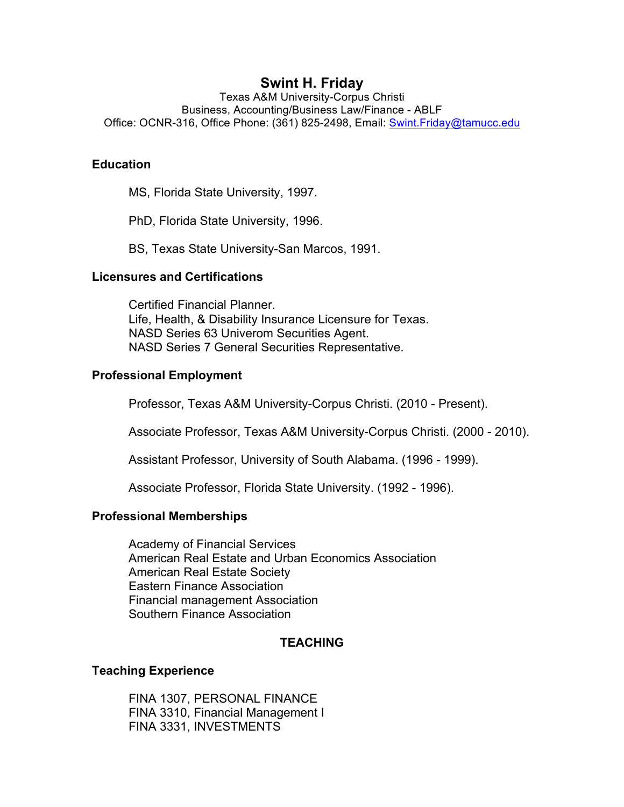# **Swint H. Friday**

Texas A&M University-Corpus Christi Business, Accounting/Business Law/Finance - ABLF Office: OCNR-316, Office Phone: (361) 825-2498, Email: Swint.Friday@tamucc.edu

## **Education**

MS, Florida State University, 1997.

PhD, Florida State University, 1996.

BS, Texas State University-San Marcos, 1991.

## **Licensures and Certifications**

Certified Financial Planner. Life, Health, & Disability Insurance Licensure for Texas. NASD Series 63 Univerom Securities Agent. NASD Series 7 General Securities Representative.

## **Professional Employment**

Professor, Texas A&M University-Corpus Christi. (2010 - Present).

Associate Professor, Texas A&M University-Corpus Christi. (2000 - 2010).

Assistant Professor, University of South Alabama. (1996 - 1999).

Associate Professor, Florida State University. (1992 - 1996).

### **Professional Memberships**

Academy of Financial Services American Real Estate and Urban Economics Association American Real Estate Society Eastern Finance Association Financial management Association Southern Finance Association

## **TEACHING**

## **Teaching Experience**

FINA 1307, PERSONAL FINANCE FINA 3310, Financial Management I FINA 3331, INVESTMENTS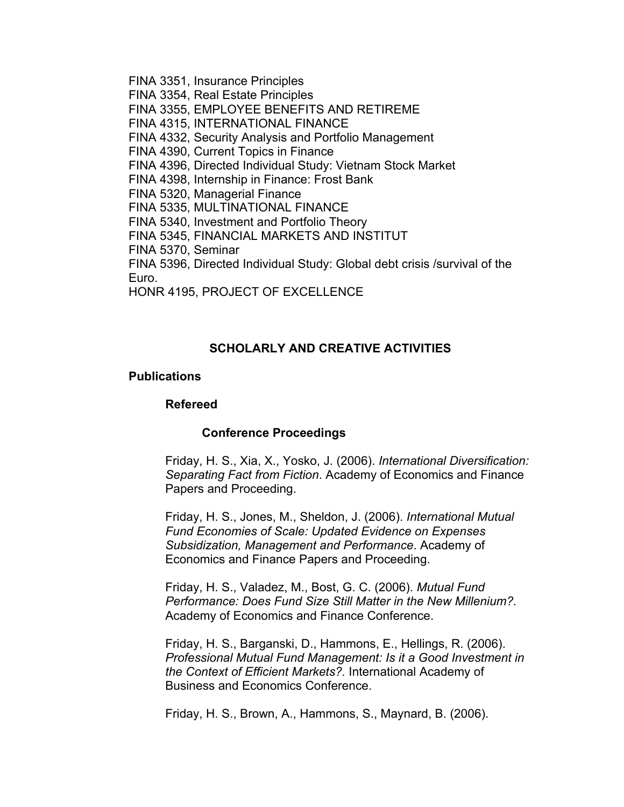FINA 3351, Insurance Principles FINA 3354, Real Estate Principles FINA 3355, EMPLOYEE BENEFITS AND RETIREME FINA 4315, INTERNATIONAL FINANCE FINA 4332, Security Analysis and Portfolio Management FINA 4390, Current Topics in Finance FINA 4396, Directed Individual Study: Vietnam Stock Market FINA 4398, Internship in Finance: Frost Bank FINA 5320, Managerial Finance FINA 5335, MULTINATIONAL FINANCE FINA 5340, Investment and Portfolio Theory FINA 5345, FINANCIAL MARKETS AND INSTITUT FINA 5370, Seminar FINA 5396, Directed Individual Study: Global debt crisis /survival of the Euro. HONR 4195, PROJECT OF EXCELLENCE

### **SCHOLARLY AND CREATIVE ACTIVITIES**

### **Publications**

#### **Refereed**

#### **Conference Proceedings**

Friday, H. S., Xia, X., Yosko, J. (2006). *International Diversification: Separating Fact from Fiction*. Academy of Economics and Finance Papers and Proceeding.

Friday, H. S., Jones, M., Sheldon, J. (2006). *International Mutual Fund Economies of Scale: Updated Evidence on Expenses Subsidization, Management and Performance*. Academy of Economics and Finance Papers and Proceeding.

Friday, H. S., Valadez, M., Bost, G. C. (2006). *Mutual Fund Performance: Does Fund Size Still Matter in the New Millenium?.* Academy of Economics and Finance Conference.

Friday, H. S., Barganski, D., Hammons, E., Hellings, R. (2006). *Professional Mutual Fund Management: Is it a Good Investment in the Context of Efficient Markets?.* International Academy of Business and Economics Conference.

Friday, H. S., Brown, A., Hammons, S., Maynard, B. (2006).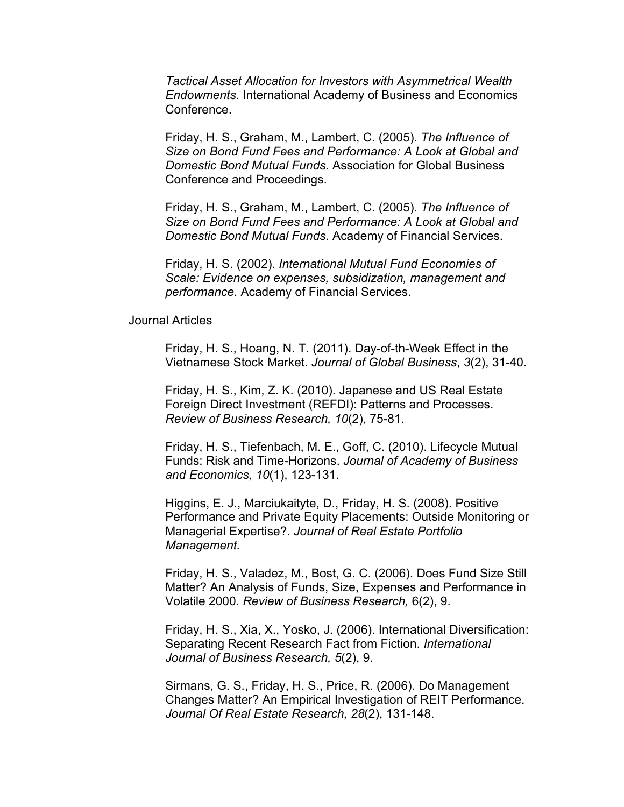*Tactical Asset Allocation for Investors with Asymmetrical Wealth Endowments*. International Academy of Business and Economics Conference.

Friday, H. S., Graham, M., Lambert, C. (2005). *The Influence of Size on Bond Fund Fees and Performance: A Look at Global and Domestic Bond Mutual Funds*. Association for Global Business Conference and Proceedings.

Friday, H. S., Graham, M., Lambert, C. (2005). *The Influence of Size on Bond Fund Fees and Performance: A Look at Global and Domestic Bond Mutual Funds*. Academy of Financial Services.

Friday, H. S. (2002). *International Mutual Fund Economies of Scale: Evidence on expenses, subsidization, management and performance*. Academy of Financial Services.

### Journal Articles

Friday, H. S., Hoang, N. T. (2011). Day-of-th-Week Effect in the Vietnamese Stock Market. *Journal of Global Business*, *3*(2), 31-40.

Friday, H. S., Kim, Z. K. (2010). Japanese and US Real Estate Foreign Direct Investment (REFDI): Patterns and Processes. *Review of Business Research, 10*(2), 75-81.

Friday, H. S., Tiefenbach, M. E., Goff, C. (2010). Lifecycle Mutual Funds: Risk and Time-Horizons. *Journal of Academy of Business and Economics, 10*(1), 123-131.

Higgins, E. J., Marciukaityte, D., Friday, H. S. (2008). Positive Performance and Private Equity Placements: Outside Monitoring or Managerial Expertise?. *Journal of Real Estate Portfolio Management.* 

Friday, H. S., Valadez, M., Bost, G. C. (2006). Does Fund Size Still Matter? An Analysis of Funds, Size, Expenses and Performance in Volatile 2000. *Review of Business Research,* 6(2), 9.

Friday, H. S., Xia, X., Yosko, J. (2006). International Diversification: Separating Recent Research Fact from Fiction. *International Journal of Business Research, 5*(2), 9.

Sirmans, G. S., Friday, H. S., Price, R. (2006). Do Management Changes Matter? An Empirical Investigation of REIT Performance. *Journal Of Real Estate Research, 28*(2), 131-148.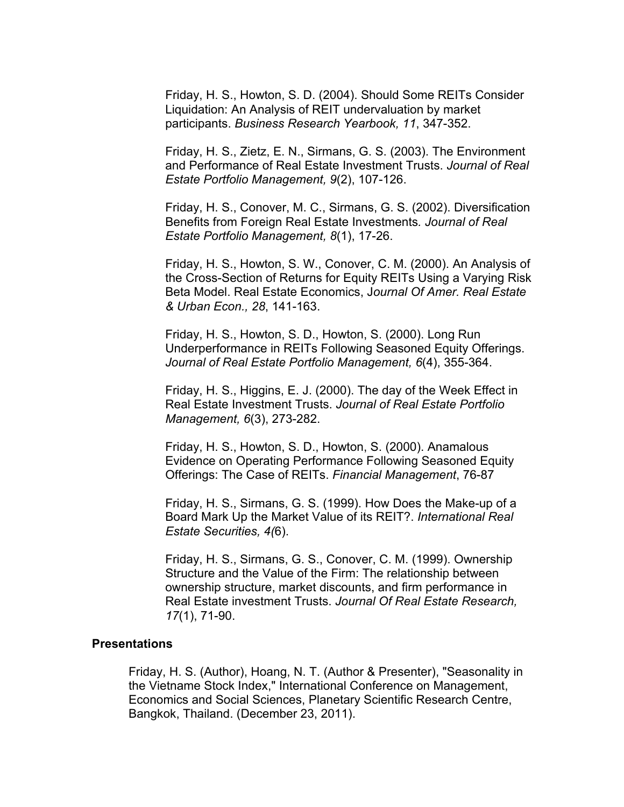Friday, H. S., Howton, S. D. (2004). Should Some REITs Consider Liquidation: An Analysis of REIT undervaluation by market participants. *Business Research Yearbook, 11*, 347-352.

Friday, H. S., Zietz, E. N., Sirmans, G. S. (2003). The Environment and Performance of Real Estate Investment Trusts. *Journal of Real Estate Portfolio Management, 9*(2), 107-126.

Friday, H. S., Conover, M. C., Sirmans, G. S. (2002). Diversification Benefits from Foreign Real Estate Investments*. Journal of Real Estate Portfolio Management, 8*(1), 17-26.

Friday, H. S., Howton, S. W., Conover, C. M. (2000). An Analysis of the Cross-Section of Returns for Equity REITs Using a Varying Risk Beta Model. Real Estate Economics, J*ournal Of Amer. Real Estate & Urban Econ., 28*, 141-163.

Friday, H. S., Howton, S. D., Howton, S. (2000). Long Run Underperformance in REITs Following Seasoned Equity Offerings. *Journal of Real Estate Portfolio Management, 6*(4), 355-364.

Friday, H. S., Higgins, E. J. (2000). The day of the Week Effect in Real Estate Investment Trusts. *Journal of Real Estate Portfolio Management, 6*(3), 273-282.

Friday, H. S., Howton, S. D., Howton, S. (2000). Anamalous Evidence on Operating Performance Following Seasoned Equity Offerings: The Case of REITs. *Financial Management*, 76-87

Friday, H. S., Sirmans, G. S. (1999). How Does the Make-up of a Board Mark Up the Market Value of its REIT?. *International Real Estate Securities, 4(*6).

Friday, H. S., Sirmans, G. S., Conover, C. M. (1999). Ownership Structure and the Value of the Firm: The relationship between ownership structure, market discounts, and firm performance in Real Estate investment Trusts. *Journal Of Real Estate Research, 17*(1), 71-90.

#### **Presentations**

Friday, H. S. (Author), Hoang, N. T. (Author & Presenter), "Seasonality in the Vietname Stock Index," International Conference on Management, Economics and Social Sciences, Planetary Scientific Research Centre, Bangkok, Thailand. (December 23, 2011).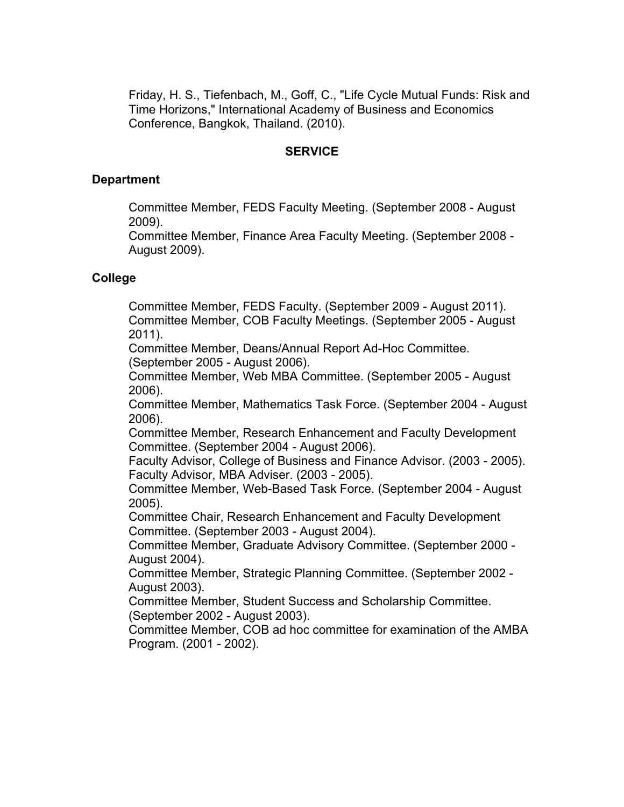Friday, H. S., Tiefenbach, M., Goff, C., "Life Cycle Mutual Funds: Risk and Time Horizons," International Academy of Business and Economics Conference, Bangkok, Thailand. (2010).

## **SERVICE**

### **Department**

Committee Member, FEDS Faculty Meeting. (September 2008 - August 2009).

Committee Member, Finance Area Faculty Meeting. (September 2008 - August 2009).

## **College**

Committee Member, FEDS Faculty. (September 2009 - August 2011). Committee Member, COB Faculty Meetings. (September 2005 - August 2011).

Committee Member, Deans/Annual Report Ad-Hoc Committee. (September 2005 - August 2006).

Committee Member, Web MBA Committee. (September 2005 - August 2006).

Committee Member, Mathematics Task Force. (September 2004 - August 2006).

Committee Member, Research Enhancement and Faculty Development Committee. (September 2004 - August 2006).

Faculty Advisor, College of Business and Finance Advisor. (2003 - 2005). Faculty Advisor, MBA Adviser. (2003 - 2005).

Committee Member, Web-Based Task Force. (September 2004 - August 2005).

Committee Chair, Research Enhancement and Faculty Development Committee. (September 2003 - August 2004).

Committee Member, Graduate Advisory Committee. (September 2000 - August 2004).

Committee Member, Strategic Planning Committee. (September 2002 - August 2003).

Committee Member, Student Success and Scholarship Committee. (September 2002 - August 2003).

Committee Member, COB ad hoc committee for examination of the AMBA Program. (2001 - 2002).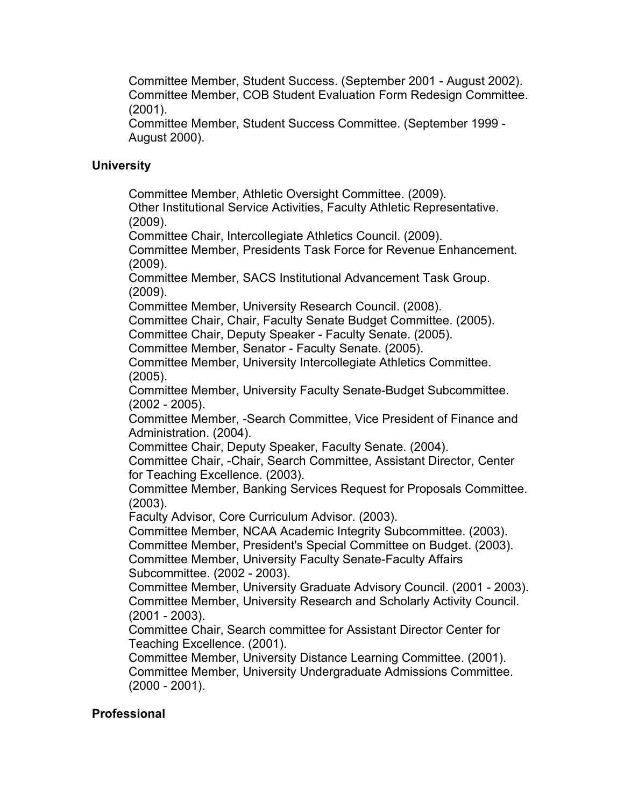Committee Member, Student Success. (September 2001 - August 2002). Committee Member, COB Student Evaluation Form Redesign Committee. (2001).

Committee Member, Student Success Committee. (September 1999 - August 2000).

# **University**

Committee Member, Athletic Oversight Committee. (2009).

Other Institutional Service Activities, Faculty Athletic Representative. (2009).

Committee Chair, Intercollegiate Athletics Council. (2009).

Committee Member, Presidents Task Force for Revenue Enhancement. (2009).

Committee Member, SACS Institutional Advancement Task Group. (2009).

Committee Member, University Research Council. (2008).

Committee Chair, Chair, Faculty Senate Budget Committee. (2005).

Committee Chair, Deputy Speaker - Faculty Senate. (2005).

Committee Member, Senator - Faculty Senate. (2005).

Committee Member, University Intercollegiate Athletics Committee. (2005).

Committee Member, University Faculty Senate-Budget Subcommittee. (2002 - 2005).

Committee Member, -Search Committee, Vice President of Finance and Administration. (2004).

Committee Chair, Deputy Speaker, Faculty Senate. (2004).

Committee Chair, -Chair, Search Committee, Assistant Director, Center for Teaching Excellence. (2003).

Committee Member, Banking Services Request for Proposals Committee. (2003).

Faculty Advisor, Core Curriculum Advisor. (2003).

Committee Member, NCAA Academic Integrity Subcommittee. (2003).

Committee Member, President's Special Committee on Budget. (2003).

Committee Member, University Faculty Senate-Faculty Affairs Subcommittee. (2002 - 2003).

Committee Member, University Graduate Advisory Council. (2001 - 2003). Committee Member, University Research and Scholarly Activity Council. (2001 - 2003).

Committee Chair, Search committee for Assistant Director Center for Teaching Excellence. (2001).

Committee Member, University Distance Learning Committee. (2001). Committee Member, University Undergraduate Admissions Committee. (2000 - 2001).

# **Professional**